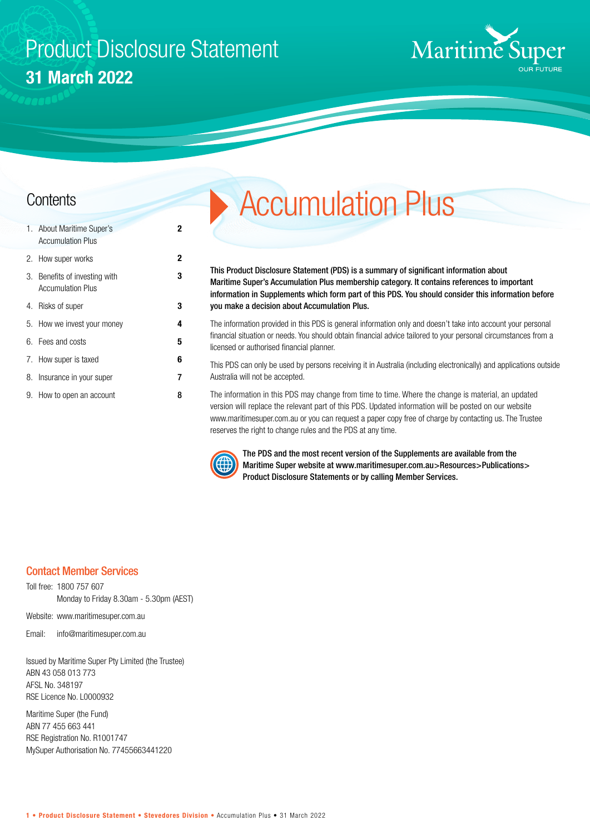## Product Disclosure Statement **31 March 2022**

**2**

**3**



| 1. About Maritime Super's<br><b>Accumulation Plus</b>     | 2 |
|-----------------------------------------------------------|---|
| 2. How super works                                        | 2 |
| 3. Benefits of investing with<br><b>Accumulation Plus</b> | 3 |
| 4. Risks of super                                         | 3 |
| 5. How we invest your money                               | 4 |
| 6. Fees and costs                                         | 5 |
| 7. How super is taxed                                     | 6 |
| 8. Insurance in your super                                | 7 |
| 9. How to open an account                                 | 8 |

# **Contents** Accumulation Plus

This Product Disclosure Statement (PDS) is a summary of significant information about Maritime Super's Accumulation Plus membership category. It contains references to important information in Supplements which form part of this PDS. You should consider this information before you make a decision about Accumulation Plus.

The information provided in this PDS is general information only and doesn't take into account your personal financial situation or needs. You should obtain financial advice tailored to your personal circumstances from a licensed or authorised financial planner.

This PDS can only be used by persons receiving it in Australia (including electronically) and applications outside Australia will not be accepted.

The information in this PDS may change from time to time. Where the change is material, an updated version will replace the relevant part of this PDS. Updated information will be posted on our website www.maritimesuper.com.au or you can request a paper copy free of charge by contacting us. The Trustee reserves the right to change rules and the PDS at any time.



The PDS and the most recent version of the Supplements are available from the Maritime Super website at www.maritimesuper.com.au>Resources>Publications> Product Disclosure Statements or by calling Member Services.

#### Contact Member Services

Toll free: 1800 757 607 Monday to Friday 8.30am - 5.30pm (AEST)

Website: www.maritimesuper.com.au

Email: info@maritimesuper.com.au

Issued by Maritime Super Pty Limited (the Trustee) ABN 43 058 013 773 AFSL No. 348197 RSE Licence No. L0000932

Maritime Super (the Fund) ABN 77 455 663 441 RSE Registration No. R1001747 MySuper Authorisation No. 77455663441220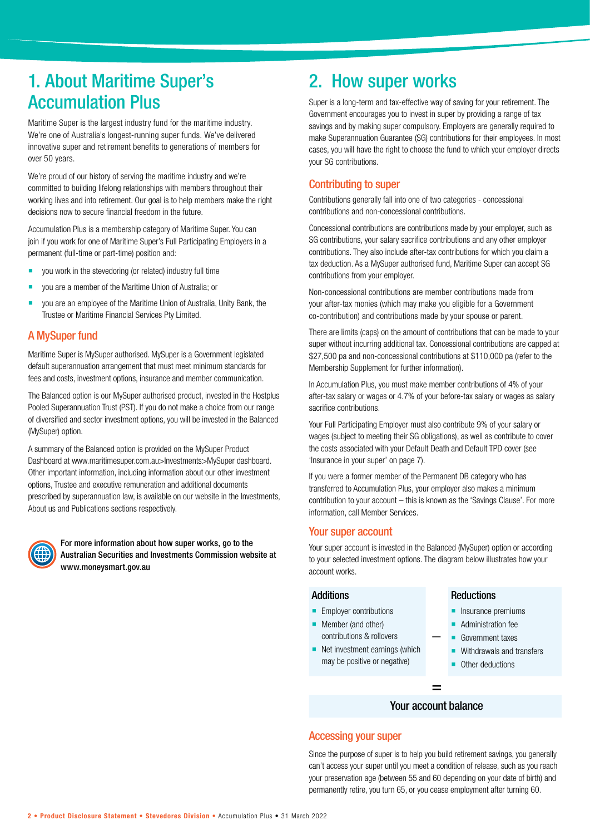### 1. About Maritime Super's Accumulation Plus

Maritime Super is the largest industry fund for the maritime industry. We're one of Australia's longest-running super funds. We've delivered innovative super and retirement benefits to generations of members for over 50 years.

We're proud of our history of serving the maritime industry and we're committed to building lifelong relationships with members throughout their working lives and into retirement. Our goal is to help members make the right decisions now to secure financial freedom in the future.

Accumulation Plus is a membership category of Maritime Super. You can join if you work for one of Maritime Super's Full Participating Employers in a permanent (full-time or part-time) position and:

- you work in the stevedoring (or related) industry full time
- you are a member of the Maritime Union of Australia; or
- **vou are an employee of the Maritime Union of Australia, Unity Bank, the** Trustee or Maritime Financial Services Pty Limited.

#### A MySuper fund

Maritime Super is MySuper authorised. MySuper is a Government legislated default superannuation arrangement that must meet minimum standards for fees and costs, investment options, insurance and member communication.

The Balanced option is our MySuper authorised product, invested in the Hostplus Pooled Superannuation Trust (PST). If you do not make a choice from our range of diversified and sector investment options, you will be invested in the Balanced (MySuper) option.

A summary of the Balanced option is provided on the MySuper Product Dashboard at www.maritimesuper.com.au>Investments>MySuper dashboard. Other important information, including information about our other investment options, Trustee and executive remuneration and additional documents prescribed by superannuation law, is available on our website in the Investments, About us and Publications sections respectively.



For more information about how super works, go to the Australian Securities and Investments Commission website at www.moneysmart.gov.au

### 2. How super works

Super is a long-term and tax-effective way of saving for your retirement. The Government encourages you to invest in super by providing a range of tax savings and by making super compulsory. Employers are generally required to make Superannuation Guarantee (SG) contributions for their employees. In most cases, you will have the right to choose the fund to which your employer directs your SG contributions.

#### Contributing to super

Contributions generally fall into one of two categories - concessional contributions and non-concessional contributions.

Concessional contributions are contributions made by your employer, such as SG contributions, your salary sacrifice contributions and any other employer contributions. They also include after-tax contributions for which you claim a tax deduction. As a MySuper authorised fund, Maritime Super can accept SG contributions from your employer.

Non-concessional contributions are member contributions made from your after-tax monies (which may make you eligible for a Government co-contribution) and contributions made by your spouse or parent.

There are limits (caps) on the amount of contributions that can be made to your super without incurring additional tax. Concessional contributions are capped at \$27,500 pa and non-concessional contributions at \$110,000 pa (refer to the Membership Supplement for further information).

In Accumulation Plus, you must make member contributions of 4% of your after-tax salary or wages or 4.7% of your before-tax salary or wages as salary sacrifice contributions.

Your Full Participating Employer must also contribute 9% of your salary or wages (subject to meeting their SG obligations), as well as contribute to cover the costs associated with your Default Death and Default TPD cover (see 'Insurance in your super' on page 7).

If you were a former member of the Permanent DB category who has transferred to Accumulation Plus, your employer also makes a minimum contribution to your account – this is known as the 'Savings Clause'. For more information, call Member Services.

#### Your super account

Your super account is invested in the Balanced (MySuper) option or according to your selected investment options. The diagram below illustrates how your account works.

 **\_**

#### **Additions**

- **Employer contributions**
- **Member (and other)** contributions & rollovers
- Net investment earnings (which may be positive or negative)

#### **Reductions**

- **Insurance premiums**
- Administration fee
- Government taxes
- Withdrawals and transfers
- **Other deductions**

### = Your account balance

#### Accessing your super

Since the purpose of super is to help you build retirement savings, you generally can't access your super until you meet a condition of release, such as you reach your preservation age (between 55 and 60 depending on your date of birth) and permanently retire, you turn 65, or you cease employment after turning 60.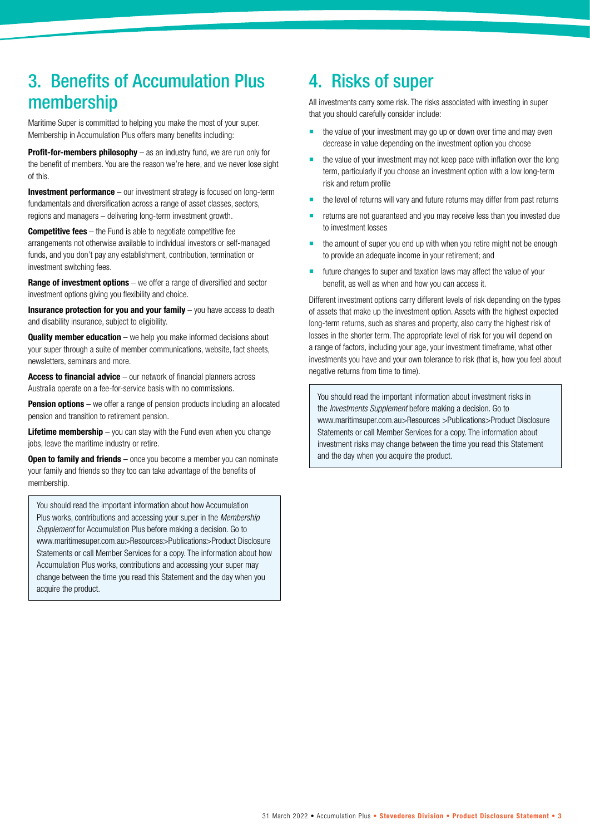### 3. Benefits of Accumulation Plus membership

Maritime Super is committed to helping you make the most of your super. Membership in Accumulation Plus offers many benefits including:

**Profit-for-members philosophy** – as an industry fund, we are run only for the benefit of members. You are the reason we're here, and we never lose sight of this.

**Investment performance** – our investment strategy is focused on long-term fundamentals and diversification across a range of asset classes, sectors, regions and managers – delivering long-term investment growth.

**Competitive fees** – the Fund is able to negotiate competitive fee arrangements not otherwise available to individual investors or self-managed funds, and you don't pay any establishment, contribution, termination or investment switching fees.

**Range of investment options** – we offer a range of diversified and sector investment options giving you flexibility and choice.

**Insurance protection for you and your family** – you have access to death and disability insurance, subject to eligibility.

**Quality member education** – we help you make informed decisions about your super through a suite of member communications, website, fact sheets, newsletters, seminars and more.

**Access to financial advice** – our network of financial planners across Australia operate on a fee-for-service basis with no commissions.

**Pension options** – we offer a range of pension products including an allocated pension and transition to retirement pension.

**Lifetime membership** – you can stay with the Fund even when you change jobs, leave the maritime industry or retire.

**Open to family and friends** – once you become a member you can nominate your family and friends so they too can take advantage of the benefits of membership.

You should read the important information about how Accumulation Plus works, contributions and accessing your super in the *Membership Supplement* for Accumulation Plus before making a decision. Go to www.maritimesuper.com.au>Resources>Publications>Product Disclosure Statements or call Member Services for a copy. The information about how Accumulation Plus works, contributions and accessing your super may change between the time you read this Statement and the day when you acquire the product.

### 4. Risks of super

All investments carry some risk. The risks associated with investing in super that you should carefully consider include:

- the value of your investment may go up or down over time and may even decrease in value depending on the investment option you choose
- the value of your investment may not keep pace with inflation over the long term, particularly if you choose an investment option with a low long-term risk and return profile
- the level of returns will vary and future returns may differ from past returns
- returns are not guaranteed and you may receive less than you invested due to investment losses
- the amount of super you end up with when you retire might not be enough to provide an adequate income in your retirement; and
- **Future changes to super and taxation laws may affect the value of your** benefit, as well as when and how you can access it.

Different investment options carry different levels of risk depending on the types of assets that make up the investment option. Assets with the highest expected long-term returns, such as shares and property, also carry the highest risk of losses in the shorter term. The appropriate level of risk for you will depend on a range of factors, including your age, your investment timeframe, what other investments you have and your own tolerance to risk (that is, how you feel about negative returns from time to time).

You should read the important information about investment risks in the *Investments Supplement* before making a decision. Go to www.maritimsuper.com.au>Resources >Publications>Product Disclosure Statements or call Member Services for a copy. The information about investment risks may change between the time you read this Statement and the day when you acquire the product.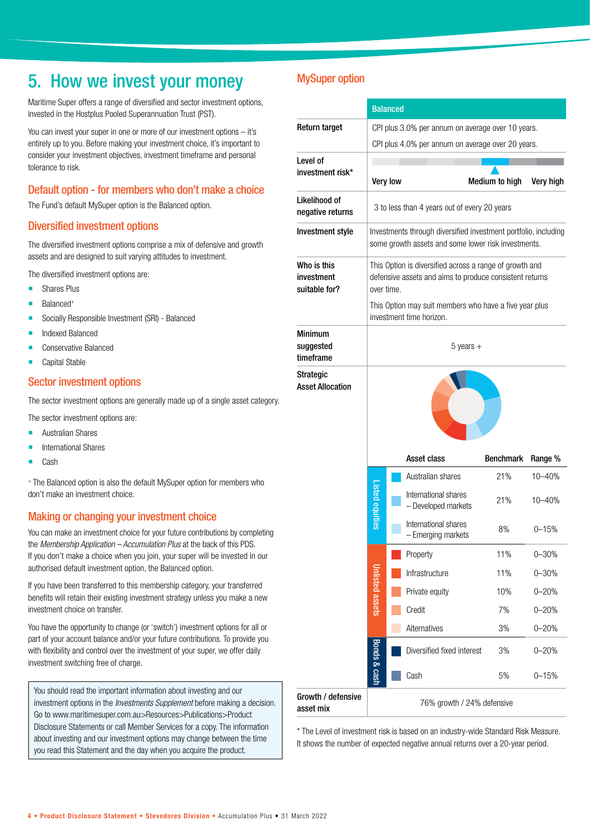### 5. How we invest your money

Maritime Super offers a range of diversified and sector investment options, invested in the Hostplus Pooled Superannuation Trust (PST).

You can invest your super in one or more of our investment options – it's entirely up to you. Before making your investment choice, it's important to consider your investment objectives, investment timeframe and personal tolerance to risk.

#### Default option - for members who don't make a choice

The Fund's default MySuper option is the Balanced option.

#### Diversified investment options

The diversified investment options comprise a mix of defensive and growth assets and are designed to suit varying attitudes to investment.

The diversified investment options are:

- **Shares Plus**
- Balanced+
- **Socially Responsible Investment (SRI) Balanced**
- **Indexed Balanced**
- Conservative Balanced
- Capital Stable

#### Sector investment options

The sector investment options are generally made up of a single asset category.

- The sector investment options are:
- **Australian Shares**
- International Shares
- Cash

+ The Balanced option is also the default MySuper option for members who don't make an investment choice.

#### Making or changing your investment choice

You can make an investment choice for your future contributions by completing the *Membership Application – Accumulation Plus* at the back of this PDS. If you don't make a choice when you join, your super will be invested in our authorised default investment option, the Balanced option.

If you have been transferred to this membership category, your transferred benefits will retain their existing investment strategy unless you make a new investment choice on transfer.

You have the opportunity to change (or 'switch') investment options for all or part of your account balance and/or your future contributions. To provide you with flexibility and control over the investment of your super, we offer daily investment switching free of charge.

You should read the important information about investing and our investment options in the *Investments Supplement* before making a decision. Go to www.maritimesuper.com.au>Resources>Publications>Product Disclosure Statements or call Member Services for a copy. The information about investing and our investment options may change between the time you read this Statement and the day when you acquire the product.

#### MySuper option

|                                             | <b>Balanced</b>        |                                                                                                                                                                                                                        |                                                   |                |                   |  |  |  |  |  |
|---------------------------------------------|------------------------|------------------------------------------------------------------------------------------------------------------------------------------------------------------------------------------------------------------------|---------------------------------------------------|----------------|-------------------|--|--|--|--|--|
| Return target                               |                        |                                                                                                                                                                                                                        | CPI plus 3.0% per annum on average over 10 years. |                |                   |  |  |  |  |  |
|                                             |                        |                                                                                                                                                                                                                        | CPI plus 4.0% per annum on average over 20 years. |                |                   |  |  |  |  |  |
| Level of<br>investment risk*                |                        |                                                                                                                                                                                                                        |                                                   |                |                   |  |  |  |  |  |
|                                             |                        | <b>Very low</b>                                                                                                                                                                                                        |                                                   | Medium to high | Very high         |  |  |  |  |  |
| Likelihood of<br>negative returns           |                        | 3 to less than 4 years out of every 20 years                                                                                                                                                                           |                                                   |                |                   |  |  |  |  |  |
| Investment style                            |                        | Investments through diversified investment portfolio, including<br>some growth assets and some lower risk investments.                                                                                                 |                                                   |                |                   |  |  |  |  |  |
| Who is this<br>investment<br>suitable for?  |                        | This Option is diversified across a range of growth and<br>defensive assets and aims to produce consistent returns<br>over time.<br>This Option may suit members who have a five year plus<br>investment time horizon. |                                                   |                |                   |  |  |  |  |  |
| <b>Minimum</b><br>suggested<br>timeframe    | $5$ years $+$          |                                                                                                                                                                                                                        |                                                   |                |                   |  |  |  |  |  |
| <b>Strategic</b><br><b>Asset Allocation</b> |                        |                                                                                                                                                                                                                        |                                                   |                |                   |  |  |  |  |  |
|                                             |                        |                                                                                                                                                                                                                        | Australian shares                                 | 21%            | Range %<br>10-40% |  |  |  |  |  |
|                                             | <b>Listed equities</b> |                                                                                                                                                                                                                        | International shares<br>- Developed markets       | 21%            | $10 - 40%$        |  |  |  |  |  |
|                                             |                        |                                                                                                                                                                                                                        | International shares<br>- Emerging markets        | 8%             | $0 - 15%$         |  |  |  |  |  |
|                                             |                        |                                                                                                                                                                                                                        | Property                                          | 11%            | $0 - 30%$         |  |  |  |  |  |
|                                             |                        |                                                                                                                                                                                                                        | Infrastructure                                    | 11%            | $0 - 30%$         |  |  |  |  |  |
|                                             | Unlisted assets        |                                                                                                                                                                                                                        | Private equity                                    | 10%            | $0 - 20%$         |  |  |  |  |  |
|                                             |                        | Credit<br>7%                                                                                                                                                                                                           |                                                   |                | $0 - 20%$         |  |  |  |  |  |
|                                             |                        |                                                                                                                                                                                                                        | Alternatives                                      | 3%             | $0 - 20%$         |  |  |  |  |  |
|                                             | Bonds & cash           |                                                                                                                                                                                                                        | Diversified fixed interest                        | 3%             | $0 - 20%$         |  |  |  |  |  |
|                                             |                        |                                                                                                                                                                                                                        | Cash                                              | 5%             | $0 - 15%$         |  |  |  |  |  |
| Growth / defensive<br>asset mix             |                        |                                                                                                                                                                                                                        | 76% growth / 24% defensive                        |                |                   |  |  |  |  |  |

\* The Level of investment risk is based on an industry-wide Standard Risk Measure. It shows the number of expected negative annual returns over a 20-year period.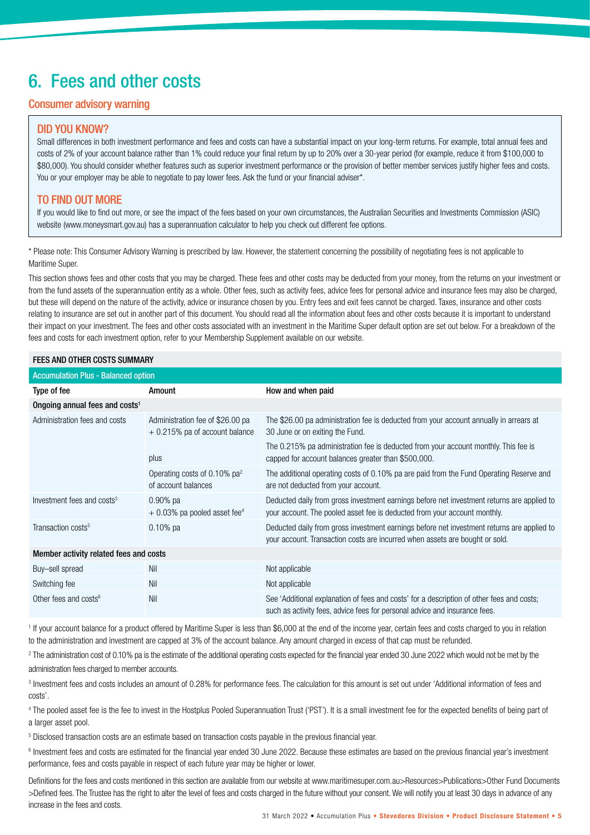### 6. Fees and other costs

#### Consumer advisory warning

#### DID YOU KNOW?

Small differences in both investment performance and fees and costs can have a substantial impact on your long-term returns. For example, total annual fees and costs of 2% of your account balance rather than 1% could reduce your final return by up to 20% over a 30-year period (for example, reduce it from \$100,000 to \$80,000). You should consider whether features such as superior investment performance or the provision of better member services justify higher fees and costs. You or your employer may be able to negotiate to pay lower fees. Ask the fund or your financial adviser\*.

#### TO FIND OUT MORE

If you would like to find out more, or see the impact of the fees based on your own circumstances, the Australian Securities and Investments Commission (ASIC) website (www.moneysmart.gov.au) has a superannuation calculator to help you check out different fee options.

\* Please note: This Consumer Advisory Warning is prescribed by law. However, the statement concerning the possibility of negotiating fees is not applicable to Maritime Super.

This section shows fees and other costs that you may be charged. These fees and other costs may be deducted from your money, from the returns on your investment or from the fund assets of the superannuation entity as a whole. Other fees, such as activity fees, advice fees for personal advice and insurance fees may also be charged, but these will depend on the nature of the activity, advice or insurance chosen by you. Entry fees and exit fees cannot be charged. Taxes, insurance and other costs relating to insurance are set out in another part of this document. You should read all the information about fees and other costs because it is important to understand their impact on your investment. The fees and other costs associated with an investment in the Maritime Super default option are set out below. For a breakdown of the fees and costs for each investment option, refer to your Membership Supplement available on our website.

#### FEES AND OTHER COSTS SUMMARY

| <b>Accumulation Plus - Balanced option</b> |                                                                    |                                                                                                                                                                            |
|--------------------------------------------|--------------------------------------------------------------------|----------------------------------------------------------------------------------------------------------------------------------------------------------------------------|
| Type of fee                                | Amount                                                             | How and when paid                                                                                                                                                          |
| Ongoing annual fees and costs <sup>1</sup> |                                                                    |                                                                                                                                                                            |
| Administration fees and costs              | Administration fee of \$26.00 pa<br>+ 0.215% pa of account balance | The \$26.00 pa administration fee is deducted from your account annually in arrears at<br>30 June or on exiting the Fund.                                                  |
|                                            | plus                                                               | The 0.215% pa administration fee is deducted from your account monthly. This fee is<br>capped for account balances greater than \$500,000.                                 |
|                                            | Operating costs of 0.10% $pa^2$<br>of account balances             | The additional operating costs of 0.10% pa are paid from the Fund Operating Reserve and<br>are not deducted from your account.                                             |
| Investment fees and costs <sup>3</sup>     | $0.90\%$ pa<br>$+0.03\%$ pa pooled asset fee <sup>4</sup>          | Deducted daily from gross investment earnings before net investment returns are applied to<br>your account. The pooled asset fee is deducted from your account monthly.    |
| Transaction costs <sup>5</sup>             | $0.10\%$ pa                                                        | Deducted daily from gross investment earnings before net investment returns are applied to<br>your account. Transaction costs are incurred when assets are bought or sold. |
| Member activity related fees and costs     |                                                                    |                                                                                                                                                                            |
| Buy-sell spread                            | Nil                                                                | Not applicable                                                                                                                                                             |
| Switching fee                              | Nil                                                                | Not applicable                                                                                                                                                             |
| Other fees and costs $6$                   | Nil                                                                | See 'Additional explanation of fees and costs' for a description of other fees and costs;<br>such as activity fees, advice fees for personal advice and insurance fees.    |

<sup>1</sup> If your account balance for a product offered by Maritime Super is less than \$6,000 at the end of the income year, certain fees and costs charged to you in relation to the administration and investment are capped at 3% of the account balance. Any amount charged in excess of that cap must be refunded.

<sup>2</sup> The administration cost of 0.10% pa is the estimate of the additional operating costs expected for the financial year ended 30 June 2022 which would not be met by the administration fees charged to member accounts.

<sup>3</sup> Investment fees and costs includes an amount of 0.28% for performance fees. The calculation for this amount is set out under 'Additional information of fees and costs'.

4 The pooled asset fee is the fee to invest in the Hostplus Pooled Superannuation Trust ('PST'). It is a small investment fee for the expected benefits of being part of a larger asset pool.

5 Disclosed transaction costs are an estimate based on transaction costs payable in the previous financial year.

<sup>6</sup> Investment fees and costs are estimated for the financial year ended 30 June 2022. Because these estimates are based on the previous financial year's investment performance, fees and costs payable in respect of each future year may be higher or lower.

Definitions for the fees and costs mentioned in this section are available from our website at www.maritimesuper.com.au>Resources>Publications>Other Fund Documents >Defined fees. The Trustee has the right to alter the level of fees and costs charged in the future without your consent. We will notify you at least 30 days in advance of any increase in the fees and costs.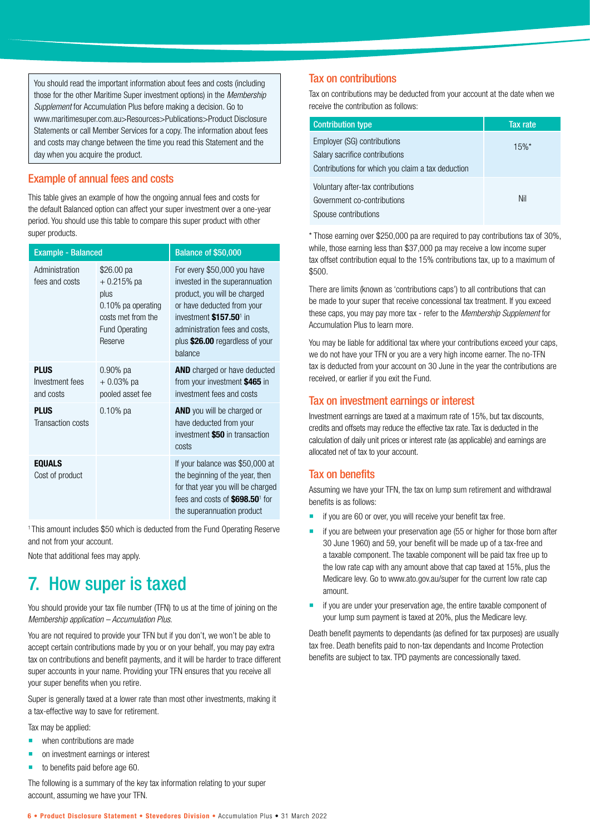You should read the important information about fees and costs (including those for the other Maritime Super investment options) in the *Membership Supplement* for Accumulation Plus before making a decision. Go to www.maritimesuper.com.au>Resources>Publications>Product Disclosure Statements or call Member Services for a copy. The information about fees and costs may change between the time you read this Statement and the day when you acquire the product.

#### Example of annual fees and costs

This table gives an example of how the ongoing annual fees and costs for the default Balanced option can affect your super investment over a one-year period. You should use this table to compare this super product with other super products.

| <b>Example - Balanced</b>                   |                                                                                                                    | Balance of \$50,000                                                                                                                                                                                                                                |  |  |  |
|---------------------------------------------|--------------------------------------------------------------------------------------------------------------------|----------------------------------------------------------------------------------------------------------------------------------------------------------------------------------------------------------------------------------------------------|--|--|--|
| Administration<br>fees and costs            | \$26.00 pa<br>$+0.215%$ pa<br>plus<br>0.10% pa operating<br>costs met from the<br><b>Fund Operating</b><br>Reserve | For every \$50,000 you have<br>invested in the superannuation<br>product, you will be charged<br>or have deducted from your<br>investment \$157.50 <sup>1</sup> in<br>administration fees and costs,<br>plus \$26.00 regardless of your<br>balance |  |  |  |
| <b>PLUS</b><br>Investment fees<br>and costs | $0.90\%$ pa<br>$+0.03%$ pa<br>pooled asset fee                                                                     | <b>AND</b> charged or have deducted<br>from your investment \$465 in<br>investment fees and costs                                                                                                                                                  |  |  |  |
| <b>PLUS</b><br>Transaction costs            | $0.10\%$ pa                                                                                                        | <b>AND</b> you will be charged or<br>have deducted from your<br>investment \$50 in transaction<br>costs                                                                                                                                            |  |  |  |
| <b>EQUALS</b><br>Cost of product            |                                                                                                                    | If your balance was \$50,000 at<br>the beginning of the year, then<br>for that year you will be charged<br>fees and costs of \$698.50 <sup>1</sup> for<br>the superannuation product                                                               |  |  |  |

<sup>1</sup> This amount includes \$50 which is deducted from the Fund Operating Reserve and not from your account.

Note that additional fees may apply.

### 7. How super is taxed

You should provide your tax file number (TFN) to us at the time of joining on the *Membership application – Accumulation Plus*.

You are not required to provide your TFN but if you don't, we won't be able to accept certain contributions made by you or on your behalf, you may pay extra tax on contributions and benefit payments, and it will be harder to trace different super accounts in your name. Providing your TFN ensures that you receive all your super benefits when you retire.

Super is generally taxed at a lower rate than most other investments, making it a tax-effective way to save for retirement.

Tax may be applied:

- when contributions are made
- **n** on investment earnings or interest
- $\blacksquare$  to benefits paid before age 60.

The following is a summary of the key tax information relating to your super account, assuming we have your TFN.

#### Tax on contributions

Tax on contributions may be deducted from your account at the date when we receive the contribution as follows:

| <b>Contribution type</b>                                                                                           | Tax rate |
|--------------------------------------------------------------------------------------------------------------------|----------|
| Employer (SG) contributions<br>Salary sacrifice contributions<br>Contributions for which you claim a tax deduction | $15%$ *  |
| Voluntary after-tax contributions<br>Government co-contributions<br>Spouse contributions                           | Nil      |

\* Those earning over \$250,000 pa are required to pay contributions tax of 30%, while, those earning less than \$37,000 pa may receive a low income super tax offset contribution equal to the 15% contributions tax, up to a maximum of \$500.

There are limits (known as 'contributions caps') to all contributions that can be made to your super that receive concessional tax treatment. If you exceed these caps, you may pay more tax - refer to the *Membership Supplement* for Accumulation Plus to learn more.

You may be liable for additional tax where your contributions exceed your caps, we do not have your TFN or you are a very high income earner. The no-TFN tax is deducted from your account on 30 June in the year the contributions are received, or earlier if you exit the Fund.

#### Tax on investment earnings or interest

Investment earnings are taxed at a maximum rate of 15%, but tax discounts, credits and offsets may reduce the effective tax rate. Tax is deducted in the calculation of daily unit prices or interest rate (as applicable) and earnings are allocated net of tax to your account.

#### Tax on benefits

Assuming we have your TFN, the tax on lump sum retirement and withdrawal benefits is as follows:

- if you are 60 or over, you will receive your benefit tax free.
- $\blacksquare$  if you are between your preservation age (55 or higher for those born after 30 June 1960) and 59, your benefit will be made up of a tax-free and a taxable component. The taxable component will be paid tax free up to the low rate cap with any amount above that cap taxed at 15%, plus the Medicare levy. Go to www.ato.gov.au/super for the current low rate cap amount.
- if you are under your preservation age, the entire taxable component of your lump sum payment is taxed at 20%, plus the Medicare levy.

Death benefit payments to dependants (as defined for tax purposes) are usually tax free. Death benefits paid to non-tax dependants and Income Protection benefits are subject to tax. TPD payments are concessionally taxed.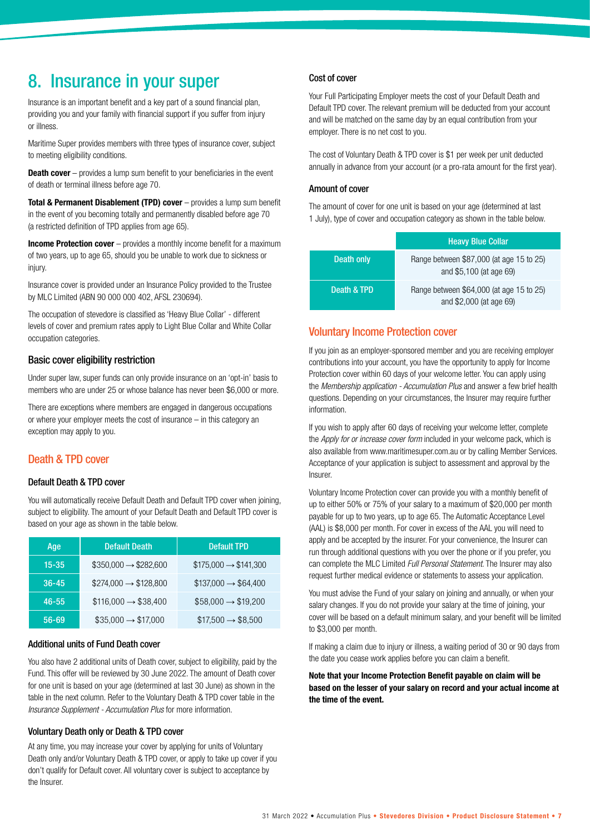### 8. Insurance in your super

Insurance is an important benefit and a key part of a sound financial plan, providing you and your family with financial support if you suffer from injury or illness.

Maritime Super provides members with three types of insurance cover, subject to meeting eligibility conditions.

**Death cover** – provides a lump sum benefit to your beneficiaries in the event of death or terminal illness before age 70.

**Total & Permanent Disablement (TPD) cover** – provides a lump sum benefit in the event of you becoming totally and permanently disabled before age 70 (a restricted definition of TPD applies from age 65).

**Income Protection cover** – provides a monthly income benefit for a maximum of two years, up to age 65, should you be unable to work due to sickness or injury.

Insurance cover is provided under an Insurance Policy provided to the Trustee by MLC Limited (ABN 90 000 000 402, AFSL 230694).

The occupation of stevedore is classified as 'Heavy Blue Collar' - different levels of cover and premium rates apply to Light Blue Collar and White Collar occupation categories.

#### Basic cover eligibility restriction

Under super law, super funds can only provide insurance on an 'opt-in' basis to members who are under 25 or whose balance has never been \$6,000 or more.

There are exceptions where members are engaged in dangerous occupations or where your employer meets the cost of insurance – in this category an exception may apply to you.

#### Death & TPD cover

#### Default Death & TPD cover

You will automatically receive Default Death and Default TPD cover when joining, subject to eligibility. The amount of your Default Death and Default TPD cover is based on your age as shown in the table below.

| Age         | <b>Default Death</b>            | <b>Default TPD</b>              |
|-------------|---------------------------------|---------------------------------|
| $15 - 35$   | $$350,000 \rightarrow $282,600$ | $$175,000 \rightarrow $141,300$ |
| $36 - 45$   | $$274,000 \rightarrow $128,800$ | $$137,000 \rightarrow $64,400$  |
| $46 - 55$   | $$116,000 \rightarrow $38,400$  | $$58,000 \rightarrow $19,200$   |
| $.56 - 69'$ | $$35,000 \rightarrow $17,000$   | $$17,500 \rightarrow $8,500$    |

#### Additional units of Fund Death cover

You also have 2 additional units of Death cover, subject to eligibility, paid by the Fund. This offer will be reviewed by 30 June 2022. The amount of Death cover for one unit is based on your age (determined at last 30 June) as shown in the table in the next column. Refer to the Voluntary Death & TPD cover table in the *Insurance Supplement - Accumulation Plus* for more information.

#### Voluntary Death only or Death & TPD cover

At any time, you may increase your cover by applying for units of Voluntary Death only and/or Voluntary Death & TPD cover, or apply to take up cover if you don't qualify for Default cover. All voluntary cover is subject to acceptance by the Insurer.

#### Cost of cover

Your Full Participating Employer meets the cost of your Default Death and Default TPD cover. The relevant premium will be deducted from your account and will be matched on the same day by an equal contribution from your employer. There is no net cost to you.

The cost of Voluntary Death & TPD cover is \$1 per week per unit deducted annually in advance from your account (or a pro-rata amount for the first year).

#### Amount of cover

The amount of cover for one unit is based on your age (determined at last 1 July), type of cover and occupation category as shown in the table below.

|             | <b>Heavy Blue Collar</b>                                            |
|-------------|---------------------------------------------------------------------|
| Death only  | Range between \$87,000 (at age 15 to 25)<br>and \$5,100 (at age 69) |
| Death & TPD | Range between \$64,000 (at age 15 to 25)<br>and \$2,000 (at age 69) |

#### Voluntary Income Protection cover

If you join as an employer-sponsored member and you are receiving employer contributions into your account, you have the opportunity to apply for Income Protection cover within 60 days of your welcome letter. You can apply using the *Membership application - Accumulation Plus* and answer a few brief health questions. Depending on your circumstances, the Insurer may require further information.

If you wish to apply after 60 days of receiving your welcome letter, complete the *Apply for or increase cover form* included in your welcome pack, which is also available from www.maritimesuper.com.au or by calling Member Services. Acceptance of your application is subject to assessment and approval by the Insurer.

Voluntary Income Protection cover can provide you with a monthly benefit of up to either 50% or 75% of your salary to a maximum of \$20,000 per month payable for up to two years, up to age 65. The Automatic Acceptance Level (AAL) is \$8,000 per month. For cover in excess of the AAL you will need to apply and be accepted by the insurer. For your convenience, the Insurer can run through additional questions with you over the phone or if you prefer, you can complete the MLC Limited *Full Personal Statement*. The Insurer may also request further medical evidence or statements to assess your application.

You must advise the Fund of your salary on joining and annually, or when your salary changes. If you do not provide your salary at the time of joining, your cover will be based on a default minimum salary, and your benefit will be limited to \$3,000 per month.

If making a claim due to injury or illness, a waiting period of 30 or 90 days from the date you cease work applies before you can claim a benefit.

**Note that your Income Protection Benefit payable on claim will be based on the lesser of your salary on record and your actual income at the time of the event.**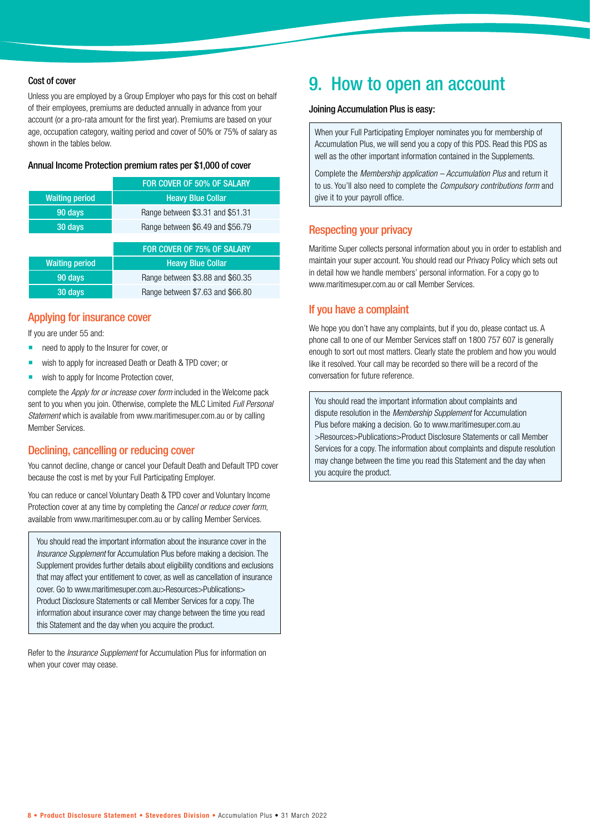#### Cost of cover

Unless you are employed by a Group Employer who pays for this cost on behalf of their employees, premiums are deducted annually in advance from your account (or a pro-rata amount for the first year). Premiums are based on your age, occupation category, waiting period and cover of 50% or 75% of salary as shown in the tables below.

#### Annual Income Protection premium rates per \$1,000 of cover

|                       | FOR COVER OF 50% OF SALARY       |
|-----------------------|----------------------------------|
| <b>Waiting period</b> | <b>Heavy Blue Collar</b>         |
| 90 days               | Range between \$3.31 and \$51.31 |
| 30 days               | Range between \$6.49 and \$56.79 |
|                       |                                  |
|                       | FOR COVER OF 75% OF SALARY       |
| <b>Waiting period</b> | <b>Heavy Blue Collar</b>         |
| 90 days               | Range between \$3.88 and \$60.35 |
| 30 days               | Range between \$7.63 and \$66.80 |

#### Applying for insurance cover

If you are under 55 and:

- need to apply to the Insurer for cover, or
- wish to apply for increased Death or Death & TPD cover; or
- wish to apply for Income Protection cover,

complete the *Apply for or increase cover form* included in the Welcome pack sent to you when you join. Otherwise, complete the MLC Limited *Full Personal Statement* which is available from www.maritimesuper.com.au or by calling Member Services.

#### Declining, cancelling or reducing cover

You cannot decline, change or cancel your Default Death and Default TPD cover because the cost is met by your Full Participating Employer.

You can reduce or cancel Voluntary Death & TPD cover and Voluntary Income Protection cover at any time by completing the *Cancel or reduce cover form*, available from www.maritimesuper.com.au or by calling Member Services.

You should read the important information about the insurance cover in the *Insurance Supplement* for Accumulation Plus before making a decision. The Supplement provides further details about eligibility conditions and exclusions that may affect your entitlement to cover, as well as cancellation of insurance cover. Go to www.maritimesuper.com.au>Resources>Publications> Product Disclosure Statements or call Member Services for a copy. The information about insurance cover may change between the time you read this Statement and the day when you acquire the product.

Refer to the *Insurance Supplement* for Accumulation Plus for information on when your cover may cease.

### 9. How to open an account

#### Joining Accumulation Plus is easy:

When your Full Participating Employer nominates you for membership of Accumulation Plus, we will send you a copy of this PDS. Read this PDS as well as the other important information contained in the Supplements.

Complete the *Membership application – Accumulation Plus* and return it to us. You'll also need to complete the *Compulsory contributions form* and give it to your payroll office.

#### Respecting your privacy

Maritime Super collects personal information about you in order to establish and maintain your super account. You should read our Privacy Policy which sets out in detail how we handle members' personal information. For a copy go to www.maritimesuper.com.au or call Member Services.

#### If you have a complaint

We hope you don't have any complaints, but if you do, please contact us. A phone call to one of our Member Services staff on 1800 757 607 is generally enough to sort out most matters. Clearly state the problem and how you would like it resolved. Your call may be recorded so there will be a record of the conversation for future reference.

You should read the important information about complaints and dispute resolution in the *Membership Supplement* for Accumulation Plus before making a decision. Go to www.maritimesuper.com.au >Resources>Publications>Product Disclosure Statements or call Member Services for a copy. The information about complaints and dispute resolution may change between the time you read this Statement and the day when you acquire the product.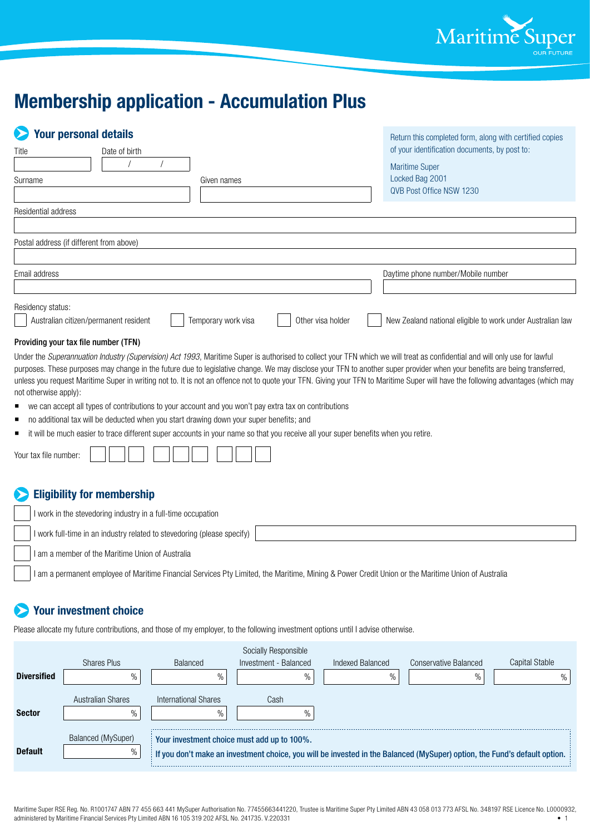

### **Membership application - Accumulation Plus**

| <b>Your personal details</b>                               |               |                     |                   | Return this completed form, along with certified copies    |
|------------------------------------------------------------|---------------|---------------------|-------------------|------------------------------------------------------------|
| Title                                                      | Date of birth |                     |                   | of your identification documents, by post to:              |
|                                                            |               |                     |                   | <b>Maritime Super</b>                                      |
| Surname                                                    |               | Given names         |                   | Locked Bag 2001<br>QVB Post Office NSW 1230                |
| Residential address                                        |               |                     |                   |                                                            |
|                                                            |               |                     |                   |                                                            |
| Postal address (if different from above)                   |               |                     |                   |                                                            |
|                                                            |               |                     |                   |                                                            |
| Email address                                              |               |                     |                   | Daytime phone number/Mobile number                         |
|                                                            |               |                     |                   |                                                            |
| Residency status:<br>Australian citizen/permanent resident |               | Temporary work visa | Other visa holder | New Zealand national eligible to work under Australian law |

#### Providing your tax file number (TFN)

Under the *Superannuation Industry (Supervision) Act 1993*, Maritime Super is authorised to collect your TFN which we will treat as confidential and will only use for lawful purposes. These purposes may change in the future due to legislative change. We may disclose your TFN to another super provider when your benefits are being transferred, unless you request Maritime Super in writing not to. It is not an offence not to quote your TFN. Giving your TFN to Maritime Super will have the following advantages (which may not otherwise apply):

- we can accept all types of contributions to your account and you won't pay extra tax on contributions
- no additional tax will be deducted when you start drawing down your super benefits; and
- it will be much easier to trace different super accounts in your name so that you receive all your super benefits when you retire.

| $\cdots$<br>tax file number<br>1.14<br>YOUT |  |  |  |  |  |  |  |  |  |  |  |  |
|---------------------------------------------|--|--|--|--|--|--|--|--|--|--|--|--|
|---------------------------------------------|--|--|--|--|--|--|--|--|--|--|--|--|

#### **Eligibility for membership**

I work in the stevedoring industry in a full-time occupation

I work full-time in an industry related to stevedoring (please specify)

I am a member of the Maritime Union of Australia

I am a permanent employee of Maritime Financial Services Pty Limited, the Maritime, Mining & Power Credit Union or the Maritime Union of Australia

#### **Your investment choice**

Please allocate my future contributions, and those of my employer, to the following investment options until I advise otherwise.

|                    |                    |                                             | Socially Responsible  |                  |                                                                                                                           |                |
|--------------------|--------------------|---------------------------------------------|-----------------------|------------------|---------------------------------------------------------------------------------------------------------------------------|----------------|
|                    | Shares Plus        | Balanced                                    | Investment - Balanced | Indexed Balanced | Conservative Balanced                                                                                                     | Capital Stable |
| <b>Diversified</b> | $\%$               | $\%$                                        | $\%$                  | $\%$             | $\%$                                                                                                                      |                |
|                    | Australian Shares  | International Shares                        | Cash                  |                  |                                                                                                                           |                |
| <b>Sector</b>      | %                  | $\%$                                        |                       |                  |                                                                                                                           |                |
|                    | Balanced (MySuper) | Your investment choice must add up to 100%. |                       |                  |                                                                                                                           |                |
| <b>Default</b>     | $\%$               |                                             |                       |                  | If you don't make an investment choice, you will be invested in the Balanced (MySuper) option, the Fund's default option. |                |

Maritime Super RSE Reg. No. R1001747 ABN 77 455 663 441 MySuper Authorisation No. 77455663441220, Trustee is Maritime Super Pty Limited ABN 43 058 013 773 AFSL No. 348197 RSE Licence No. L0000932, administered by Maritime Financial Services Pty Limited ABN 16 105 319 202 AFSL No. 241735. V.220331 • 1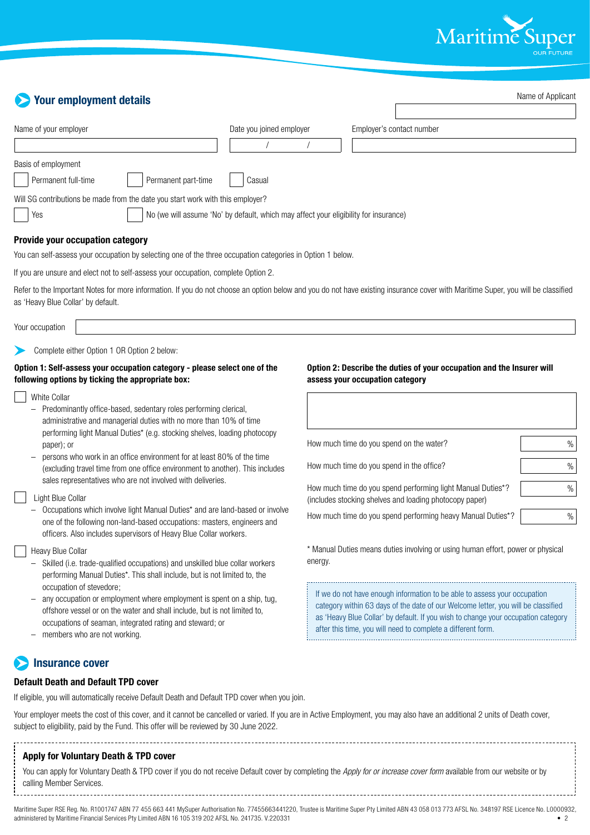

Name of Applicant

| <b>Your employment details</b>                                                                                                                                                                                                                                                                                                                                                                                                                                       |                          |         |                                                                                                                                                                                                                                        | Name of Applican |
|----------------------------------------------------------------------------------------------------------------------------------------------------------------------------------------------------------------------------------------------------------------------------------------------------------------------------------------------------------------------------------------------------------------------------------------------------------------------|--------------------------|---------|----------------------------------------------------------------------------------------------------------------------------------------------------------------------------------------------------------------------------------------|------------------|
| Name of your employer                                                                                                                                                                                                                                                                                                                                                                                                                                                | Date you joined employer |         | Employer's contact number                                                                                                                                                                                                              |                  |
|                                                                                                                                                                                                                                                                                                                                                                                                                                                                      |                          |         |                                                                                                                                                                                                                                        |                  |
| Basis of employment                                                                                                                                                                                                                                                                                                                                                                                                                                                  |                          |         |                                                                                                                                                                                                                                        |                  |
| Permanent full-time<br>Permanent part-time                                                                                                                                                                                                                                                                                                                                                                                                                           | Casual                   |         |                                                                                                                                                                                                                                        |                  |
| Will SG contributions be made from the date you start work with this employer?                                                                                                                                                                                                                                                                                                                                                                                       |                          |         |                                                                                                                                                                                                                                        |                  |
| No (we will assume 'No' by default, which may affect your eligibility for insurance)<br>Yes                                                                                                                                                                                                                                                                                                                                                                          |                          |         |                                                                                                                                                                                                                                        |                  |
| Provide your occupation category                                                                                                                                                                                                                                                                                                                                                                                                                                     |                          |         |                                                                                                                                                                                                                                        |                  |
| You can self-assess your occupation by selecting one of the three occupation categories in Option 1 below.                                                                                                                                                                                                                                                                                                                                                           |                          |         |                                                                                                                                                                                                                                        |                  |
| If you are unsure and elect not to self-assess your occupation, complete Option 2.                                                                                                                                                                                                                                                                                                                                                                                   |                          |         |                                                                                                                                                                                                                                        |                  |
| Refer to the Important Notes for more information. If you do not choose an option below and you do not have existing insurance cover with Maritime Super, you will be classified<br>as 'Heavy Blue Collar' by default.                                                                                                                                                                                                                                               |                          |         |                                                                                                                                                                                                                                        |                  |
| Your occupation                                                                                                                                                                                                                                                                                                                                                                                                                                                      |                          |         |                                                                                                                                                                                                                                        |                  |
| Option 1: Self-assess your occupation category - please select one of the<br>following options by ticking the appropriate box:<br><b>White Collar</b><br>Predominantly office-based, sedentary roles performing clerical,<br>administrative and managerial duties with no more than 10% of time<br>performing light Manual Duties* (e.g. stocking shelves, loading photocopy<br>paper); or<br>persons who work in an office environment for at least 80% of the time |                          |         | Option 2: Describe the duties of your occupation and the Insurer will<br>assess your occupation category<br>How much time do you spend on the water?                                                                                   | %                |
| (excluding travel time from one office environment to another). This includes<br>sales representatives who are not involved with deliveries.                                                                                                                                                                                                                                                                                                                         |                          |         | How much time do you spend in the office?                                                                                                                                                                                              | %                |
| Light Blue Collar                                                                                                                                                                                                                                                                                                                                                                                                                                                    |                          |         | How much time do you spend performing light Manual Duties*?<br>(includes stocking shelves and loading photocopy paper)                                                                                                                 | %                |
| Occupations which involve light Manual Duties* and are land-based or involve<br>one of the following non-land-based occupations: masters, engineers and<br>officers. Also includes supervisors of Heavy Blue Collar workers.                                                                                                                                                                                                                                         |                          |         | How much time do you spend performing heavy Manual Duties*?                                                                                                                                                                            | $\%$             |
| Heavy Blue Collar<br>- Skilled (i.e. trade-qualified occupations) and unskilled blue collar workers<br>performing Manual Duties*. This shall include, but is not limited to, the<br>occupation of stevedore;                                                                                                                                                                                                                                                         |                          | energy. | * Manual Duties means duties involving or using human effort, power or physical<br>If we do not have enough information to be able to assess your occupation                                                                           |                  |
| any occupation or employment where employment is spent on a ship, tug,<br>offshore vessel or on the water and shall include, but is not limited to,<br>occupations of seaman, integrated rating and steward; or<br>members who are not working.                                                                                                                                                                                                                      |                          |         | category within 63 days of the date of our Welcome letter, you will be classified<br>as 'Heavy Blue Collar' by default. If you wish to change your occupation category<br>after this time, you will need to complete a different form. |                  |
| <b>Insurance cover</b>                                                                                                                                                                                                                                                                                                                                                                                                                                               |                          |         |                                                                                                                                                                                                                                        |                  |

#### **Default Death and Default TPD cover**

If eligible, you will automatically receive Default Death and Default TPD cover when you join.

Your employer meets the cost of this cover, and it cannot be cancelled or varied. If you are in Active Employment, you may also have an additional 2 units of Death cover, subject to eligibility, paid by the Fund. This offer will be reviewed by 30 June 2022.

#### **Apply for Voluntary Death & TPD cover**

You can apply for Voluntary Death & TPD cover if you do not receive Default cover by completing the *Apply for or increase cover form* available from our website or by calling Member Services. 

Maritime Super RSE Reg. No. R1001747 ABN 77 455 663 441 MySuper Authorisation No. 77455663441220, Trustee is Maritime Super Pty Limited ABN 43 058 013 773 AFSL No. 348197 RSE Licence No. L0000932, administered by Maritime Financial Services Pty Limited ABN 16 105 319 202 AFSL No. 241735. V.220331 • 2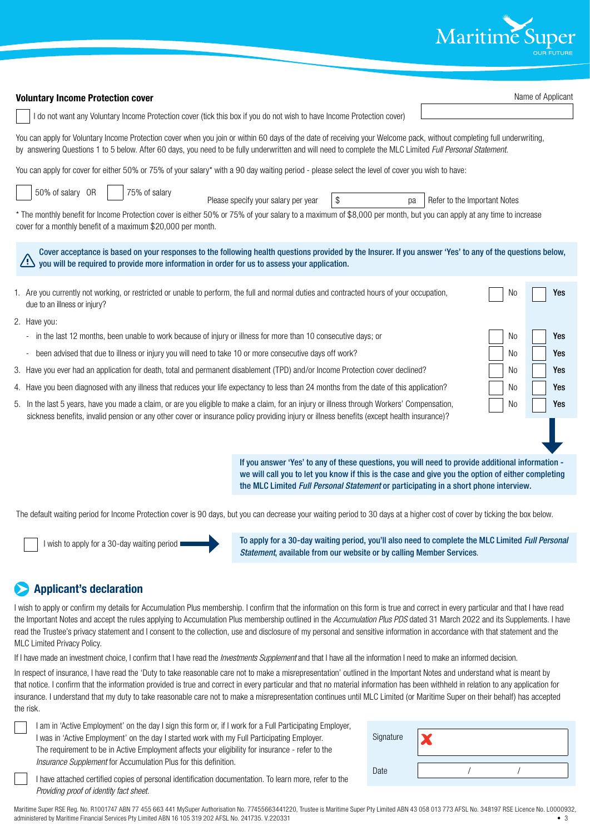

| <b>Voluntary Income Protection cover</b>                                                                                                                                                                                                                                                                                          | Name of Applicant            |
|-----------------------------------------------------------------------------------------------------------------------------------------------------------------------------------------------------------------------------------------------------------------------------------------------------------------------------------|------------------------------|
| I do not want any Voluntary Income Protection cover (tick this box if you do not wish to have Income Protection cover)                                                                                                                                                                                                            |                              |
| You can apply for Voluntary Income Protection cover when you join or within 60 days of the date of receiving your Welcome pack, without completing full underwriting,<br>by answering Questions 1 to 5 below. After 60 days, you need to be fully underwritten and will need to complete the MLC Limited Full Personal Statement. |                              |
| You can apply for cover for either 50% or 75% of your salary* with a 90 day waiting period - please select the level of cover you wish to have:                                                                                                                                                                                   |                              |
| 50% of salary OR<br>75% of salary<br>\$<br>Please specify your salary per year<br>pa<br>* The monthly benefit for Income Protection cover is either 50% or 75% of your salary to a maximum of \$8,000 per month, but you can apply at any time to increase<br>cover for a monthly benefit of a maximum \$20,000 per month.        | Refer to the Important Notes |
| Cover acceptance is based on your responses to the following health questions provided by the Insurer. If you answer 'Yes' to any of the questions below,<br>/!`<br>you will be required to provide more information in order for us to assess your application.                                                                  |                              |
| 1. Are you currently not working, or restricted or unable to perform, the full and normal duties and contracted hours of your occupation,<br>due to an illness or injury?                                                                                                                                                         | No<br>Yes                    |
| 2. Have you:                                                                                                                                                                                                                                                                                                                      |                              |
| - in the last 12 months, been unable to work because of injury or illness for more than 10 consecutive days; or                                                                                                                                                                                                                   | No<br>Yes                    |
| been advised that due to illness or injury you will need to take 10 or more consecutive days off work?<br>÷                                                                                                                                                                                                                       | No<br>Yes                    |
| 3. Have you ever had an application for death, total and permanent disablement (TPD) and/or Income Protection cover declined?<br>No                                                                                                                                                                                               |                              |
| 4. Have you been diagnosed with any illness that reduces your life expectancy to less than 24 months from the date of this application?                                                                                                                                                                                           | No<br>Yes                    |
| 5. In the last 5 years, have you made a claim, or are you eligible to make a claim, for an injury or illness through Workers' Compensation,<br>sickness benefits, invalid pension or any other cover or insurance policy providing injury or illness benefits (except health insurance)?                                          | No<br>Yes                    |
|                                                                                                                                                                                                                                                                                                                                   |                              |
| If you answer 'Yes' to any of these questions, you will need to provide additional information -<br>we will call you to let you know if this is the case and give you the option of either completing<br>the MLC Limited Full Personal Statement or participating in a short phone interview.                                     |                              |
| The default waiting period for Income Protection cover is 90 days, but you can decrease your waiting period to 30 days at a higher cost of cover by ticking the box below.                                                                                                                                                        |                              |

I wish to apply for a 30-day waiting period

To apply for a 30-day waiting period, you'll also need to complete the MLC Limited *Full Personal Statement*, available from our website or by calling Member Services.

### **Applicant's declaration**

I wish to apply or confirm my details for Accumulation Plus membership. I confirm that the information on this form is true and correct in every particular and that I have read the Important Notes and accept the rules applying to Accumulation Plus membership outlined in the *Accumulation Plus PDS* dated 31 March 2022 and its Supplements. I have read the Trustee's privacy statement and I consent to the collection, use and disclosure of my personal and sensitive information in accordance with that statement and the MLC Limited Privacy Policy.

If I have made an investment choice, I confirm that I have read the *Investments Supplement* and that I have all the information I need to make an informed decision.

In respect of insurance, I have read the 'Duty to take reasonable care not to make a misrepresentation' outlined in the Important Notes and understand what is meant by that notice. I confirm that the information provided is true and correct in every particular and that no material information has been withheld in relation to any application for insurance. I understand that my duty to take reasonable care not to make a misrepresentation continues until MLC Limited (or Maritime Super on their behalf) has accepted the risk.

I am in 'Active Employment' on the day I sign this form or, if I work for a Full Participating Employer, I was in 'Active Employment' on the day I started work with my Full Participating Employer. The requirement to be in Active Employment affects your eligibility for insurance - refer to the *Insurance Supplement* for Accumulation Plus for this definition.

| Signature |  |  |
|-----------|--|--|
| Date      |  |  |

I have attached certified copies of personal identification documentation. To learn more, refer to the *Providing proof of identity fact sheet*.

Maritime Super RSE Reg. No. R1001747 ABN 77 455 663 441 MySuper Authorisation No. 77455663441220, Trustee is Maritime Super Pty Limited ABN 43 058 013 773 AFSL No. 348197 RSE Licence No. L0000932, administered by Maritime Financial Services Pty Limited ABN 16 105 319 202 AFSL No. 241735. V.220331 • 3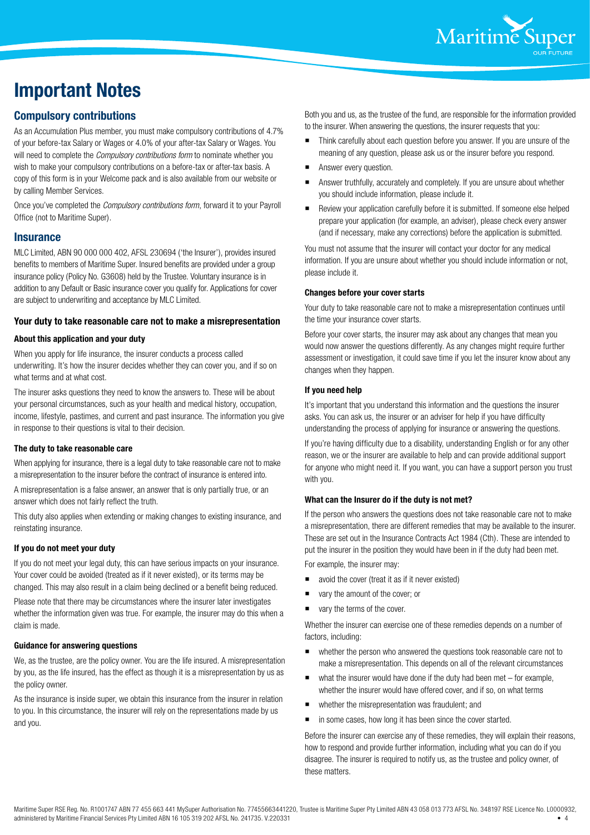

### **Important Notes**

#### **Compulsory contributions**

As an Accumulation Plus member, you must make compulsory contributions of 4.7% of your before-tax Salary or Wages or 4.0% of your after-tax Salary or Wages. You will need to complete the *Compulsory contributions form* to nominate whether you wish to make your compulsory contributions on a before-tax or after-tax basis. A copy of this form is in your Welcome pack and is also available from our website or by calling Member Services.

Once you've completed the *Compulsory contributions form*, forward it to your Payroll Office (not to Maritime Super).

#### **Insurance**

MLC Limited, ABN 90 000 000 402, AFSL 230694 ('the Insurer'), provides insured benefits to members of Maritime Super. Insured benefits are provided under a group insurance policy (Policy No. G3608) held by the Trustee. Voluntary insurance is in addition to any Default or Basic insurance cover you qualify for. Applications for cover are subject to underwriting and acceptance by MLC Limited.

#### **Your duty to take reasonable care not to make a misrepresentation**

#### **About this application and your duty**

When you apply for life insurance, the insurer conducts a process called underwriting. It's how the insurer decides whether they can cover you, and if so on what terms and at what cost.

The insurer asks questions they need to know the answers to. These will be about your personal circumstances, such as your health and medical history, occupation, income, lifestyle, pastimes, and current and past insurance. The information you give in response to their questions is vital to their decision.

#### **The duty to take reasonable care**

When applying for insurance, there is a legal duty to take reasonable care not to make a misrepresentation to the insurer before the contract of insurance is entered into.

A misrepresentation is a false answer, an answer that is only partially true, or an answer which does not fairly reflect the truth.

This duty also applies when extending or making changes to existing insurance, and reinstating insurance.

#### **If you do not meet your duty**

If you do not meet your legal duty, this can have serious impacts on your insurance. Your cover could be avoided (treated as if it never existed), or its terms may be changed. This may also result in a claim being declined or a benefit being reduced. Please note that there may be circumstances where the insurer later investigates whether the information given was true. For example, the insurer may do this when a claim is made.

#### **Guidance for answering questions**

We, as the trustee, are the policy owner. You are the life insured. A misrepresentation by you, as the life insured, has the effect as though it is a misrepresentation by us as the policy owner.

As the insurance is inside super, we obtain this insurance from the insurer in relation to you. In this circumstance, the insurer will rely on the representations made by us and you.

Both you and us, as the trustee of the fund, are responsible for the information provided to the insurer. When answering the questions, the insurer requests that you:

- Think carefully about each question before you answer. If you are unsure of the meaning of any question, please ask us or the insurer before you respond.
- Answer every question.
- Answer truthfully, accurately and completely. If you are unsure about whether you should include information, please include it.
- Review your application carefully before it is submitted. If someone else helped prepare your application (for example, an adviser), please check every answer (and if necessary, make any corrections) before the application is submitted.

You must not assume that the insurer will contact your doctor for any medical information. If you are unsure about whether you should include information or not, please include it.

#### **Changes before your cover starts**

Your duty to take reasonable care not to make a misrepresentation continues until the time your insurance cover starts.

Before your cover starts, the insurer may ask about any changes that mean you would now answer the questions differently. As any changes might require further assessment or investigation, it could save time if you let the insurer know about any changes when they happen.

#### **If you need help**

It's important that you understand this information and the questions the insurer asks. You can ask us, the insurer or an adviser for help if you have difficulty understanding the process of applying for insurance or answering the questions.

If you're having difficulty due to a disability, understanding English or for any other reason, we or the insurer are available to help and can provide additional support for anyone who might need it. If you want, you can have a support person you trust with you.

#### **What can the Insurer do if the duty is not met?**

If the person who answers the questions does not take reasonable care not to make a misrepresentation, there are different remedies that may be available to the insurer. These are set out in the Insurance Contracts Act 1984 (Cth). These are intended to put the insurer in the position they would have been in if the duty had been met.

For example, the insurer may:

- avoid the cover (treat it as if it never existed)
- vary the amount of the cover; or
- vary the terms of the cover.

Whether the insurer can exercise one of these remedies depends on a number of factors, including:

- whether the person who answered the questions took reasonable care not to make a misrepresentation. This depends on all of the relevant circumstances
- what the insurer would have done if the duty had been met for example, whether the insurer would have offered cover, and if so, on what terms
- whether the misrepresentation was fraudulent; and
- in some cases, how long it has been since the cover started.

Before the insurer can exercise any of these remedies, they will explain their reasons, how to respond and provide further information, including what you can do if you disagree. The insurer is required to notify us, as the trustee and policy owner, of these matters.